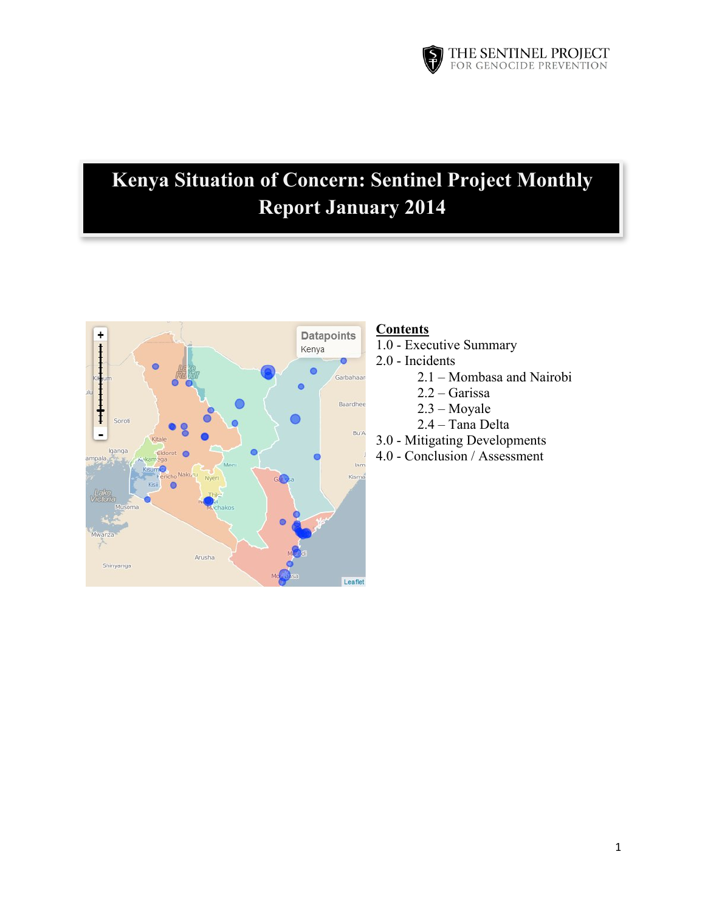

# **Kenya Situation of Concern: Sentinel Project Monthly Report January 2014**



# **Contents**

- 1.0 Executive Summary
- 2.0 Incidents
	- 2.1 Mombasa and Nairobi
	- 2.2 Garissa
	- 2.3 Moyale
	- 2.4 Tana Delta
- 3.0 Mitigating Developments
- 4.0 Conclusion / Assessment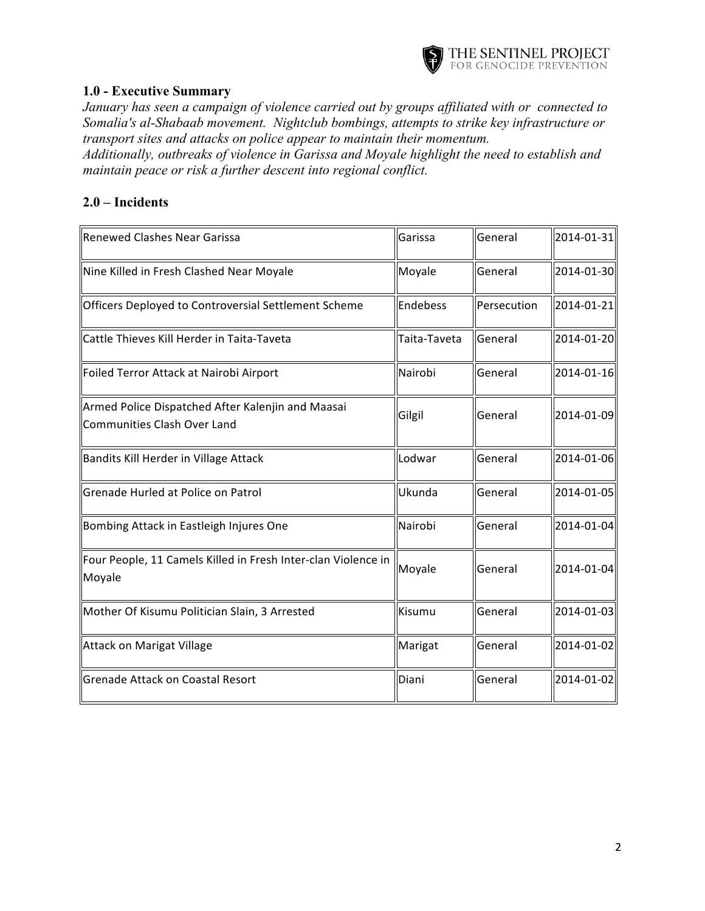

### **1.0 - Executive Summary**

*January has seen a campaign of violence carried out by groups affiliated with or connected to Somalia's al-Shabaab movement. Nightclub bombings, attempts to strike key infrastructure or transport sites and attacks on police appear to maintain their momentum.*

*Additionally, outbreaks of violence in Garissa and Moyale highlight the need to establish and maintain peace or risk a further descent into regional conflict.*

### **2.0 – Incidents**

| <b>Renewed Clashes Near Garissa</b>                                                     | Garissa      | <b>General</b> | 2014-01-31 |
|-----------------------------------------------------------------------------------------|--------------|----------------|------------|
| Nine Killed in Fresh Clashed Near Moyale                                                | Moyale       | General        | 2014-01-30 |
| Officers Deployed to Controversial Settlement Scheme                                    | Endebess     | Persecution    | 2014-01-21 |
| Cattle Thieves Kill Herder in Taita-Taveta                                              | Taita-Taveta | General        | 2014-01-20 |
| Foiled Terror Attack at Nairobi Airport                                                 | Nairobi      | General        | 2014-01-16 |
| Armed Police Dispatched After Kalenjin and Maasai<br><b>Communities Clash Over Land</b> | Gilgil       | General        | 2014-01-09 |
| Bandits Kill Herder in Village Attack                                                   | Lodwar       | General        | 2014-01-06 |
| Grenade Hurled at Police on Patrol                                                      | Ukunda       | General        | 2014-01-05 |
| Bombing Attack in Eastleigh Injures One                                                 | Nairobi      | <b>General</b> | 2014-01-04 |
| Four People, 11 Camels Killed in Fresh Inter-clan Violence in<br>Moyale                 | Moyale       | General        | 2014-01-04 |
| Mother Of Kisumu Politician Slain, 3 Arrested                                           | Kisumu       | General        | 2014-01-03 |
| Attack on Marigat Village                                                               | Marigat      | General        | 2014-01-02 |
| <b>Grenade Attack on Coastal Resort</b>                                                 | Diani        | General        | 2014-01-02 |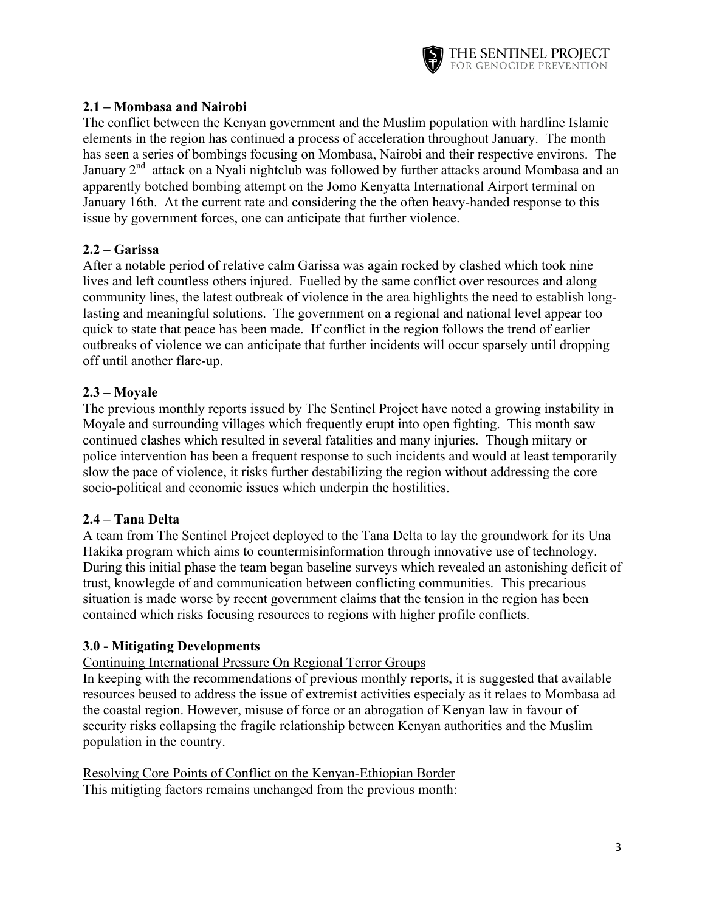

# **2.1 – Mombasa and Nairobi**

The conflict between the Kenyan government and the Muslim population with hardline Islamic elements in the region has continued a process of acceleration throughout January. The month has seen a series of bombings focusing on Mombasa, Nairobi and their respective environs. The January  $2<sup>nd</sup>$  attack on a Nyali nightclub was followed by further attacks around Mombasa and an apparently botched bombing attempt on the Jomo Kenyatta International Airport terminal on January 16th. At the current rate and considering the the often heavy-handed response to this issue by government forces, one can anticipate that further violence.

# **2.2 – Garissa**

After a notable period of relative calm Garissa was again rocked by clashed which took nine lives and left countless others injured. Fuelled by the same conflict over resources and along community lines, the latest outbreak of violence in the area highlights the need to establish longlasting and meaningful solutions. The government on a regional and national level appear too quick to state that peace has been made. If conflict in the region follows the trend of earlier outbreaks of violence we can anticipate that further incidents will occur sparsely until dropping off until another flare-up.

# **2.3 – Moyale**

The previous monthly reports issued by The Sentinel Project have noted a growing instability in Moyale and surrounding villages which frequently erupt into open fighting. This month saw continued clashes which resulted in several fatalities and many injuries. Though miitary or police intervention has been a frequent response to such incidents and would at least temporarily slow the pace of violence, it risks further destabilizing the region without addressing the core socio-political and economic issues which underpin the hostilities.

#### **2.4 – Tana Delta**

A team from The Sentinel Project deployed to the Tana Delta to lay the groundwork for its Una Hakika program which aims to countermisinformation through innovative use of technology. During this initial phase the team began baseline surveys which revealed an astonishing deficit of trust, knowlegde of and communication between conflicting communities. This precarious situation is made worse by recent government claims that the tension in the region has been contained which risks focusing resources to regions with higher profile conflicts.

#### **3.0 - Mitigating Developments**

#### Continuing International Pressure On Regional Terror Groups

In keeping with the recommendations of previous monthly reports, it is suggested that available resources beused to address the issue of extremist activities especialy as it relaes to Mombasa ad the coastal region. However, misuse of force or an abrogation of Kenyan law in favour of security risks collapsing the fragile relationship between Kenyan authorities and the Muslim population in the country.

Resolving Core Points of Conflict on the Kenyan-Ethiopian Border This mitigting factors remains unchanged from the previous month: